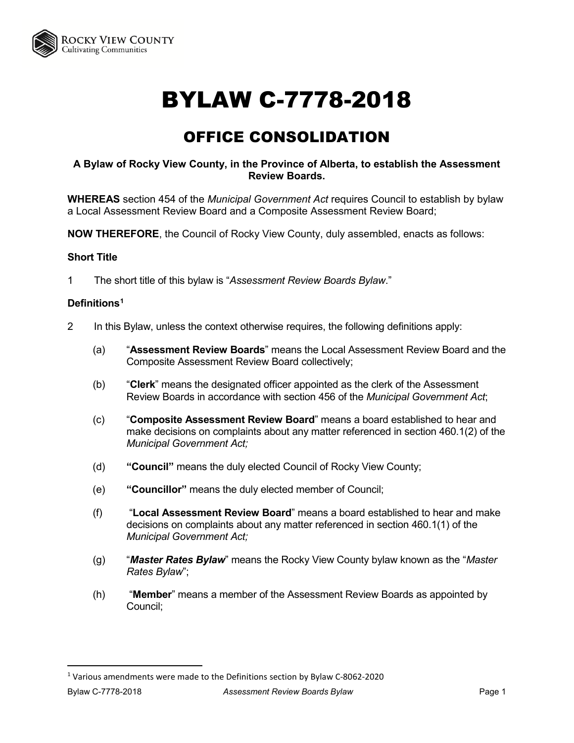

# BYLAW C-7778-2018

# OFFICE CONSOLIDATION

### **A Bylaw of Rocky View County, in the Province of Alberta, to establish the Assessment Review Boards.**

**WHEREAS** section 454 of the *Municipal Government Act* requires Council to establish by bylaw a Local Assessment Review Board and a Composite Assessment Review Board;

**NOW THEREFORE**, the Council of Rocky View County, duly assembled, enacts as follows:

#### **Short Title**

1 The short title of this bylaw is "*Assessment Review Boards Bylaw*."

#### **Definitions[1](#page-0-0)**

- 2 In this Bylaw, unless the context otherwise requires, the following definitions apply:
	- (a) "**Assessment Review Boards**" means the Local Assessment Review Board and the Composite Assessment Review Board collectively;
	- (b) "**Clerk**" means the designated officer appointed as the clerk of the Assessment Review Boards in accordance with section 456 of the *Municipal Government Act*;
	- (c) "**Composite Assessment Review Board**" means a board established to hear and make decisions on complaints about any matter referenced in section 460.1(2) of the *Municipal Government Act;*
	- (d) **"Council"** means the duly elected Council of Rocky View County;
	- (e) **"Councillor"** means the duly elected member of Council;
	- (f) "**Local Assessment Review Board**" means a board established to hear and make decisions on complaints about any matter referenced in section 460.1(1) of the *Municipal Government Act;*
	- (g) "*Master Rates Bylaw*" means the Rocky View County bylaw known as the "*Master Rates Bylaw*";
	- (h) "**Member**" means a member of the Assessment Review Boards as appointed by Council;

<span id="page-0-0"></span>Bylaw C-7778-2018 *Assessment Review Boards Bylaw* Page 1 1 Various amendments were made to the Definitions section by Bylaw C-8062-2020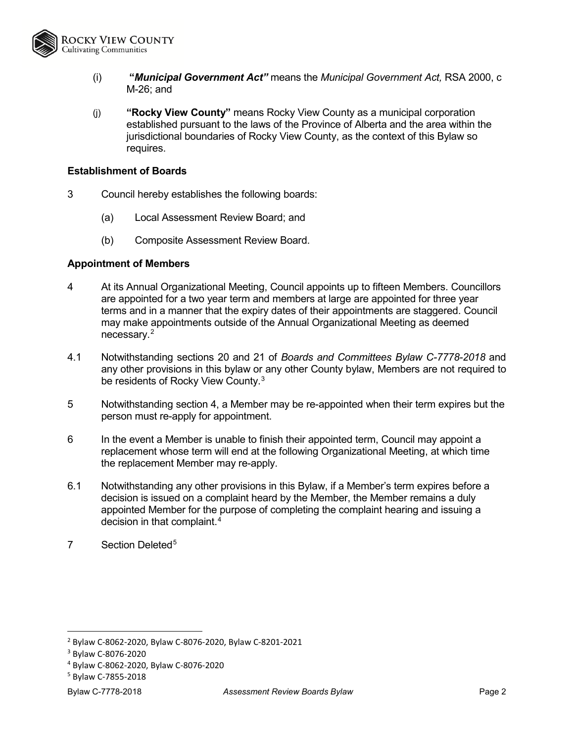

- (i) **"***Municipal Government Act"* means the *Municipal Government Act,* RSA 2000, c M-26; and
- (j) **"Rocky View County"** means Rocky View County as a municipal corporation established pursuant to the laws of the Province of Alberta and the area within the jurisdictional boundaries of Rocky View County, as the context of this Bylaw so requires.

#### **Establishment of Boards**

- 3 Council hereby establishes the following boards:
	- (a) Local Assessment Review Board; and
	- (b) Composite Assessment Review Board.

#### **Appointment of Members**

- 4 At its Annual Organizational Meeting, Council appoints up to fifteen Members. Councillors are appointed for a two year term and members at large are appointed for three year terms and in a manner that the expiry dates of their appointments are staggered. Council may make appointments outside of the Annual Organizational Meeting as deemed necessary.[2](#page-1-0)
- 4.1 Notwithstanding sections 20 and 21 of *Boards and Committees Bylaw C-7778-2018* and any other provisions in this bylaw or any other County bylaw, Members are not required to be residents of Rocky View County.<sup>[3](#page-1-1)</sup>
- 5 Notwithstanding section 4, a Member may be re-appointed when their term expires but the person must re-apply for appointment.
- 6 In the event a Member is unable to finish their appointed term, Council may appoint a replacement whose term will end at the following Organizational Meeting, at which time the replacement Member may re-apply.
- 6.1 Notwithstanding any other provisions in this Bylaw, if a Member's term expires before a decision is issued on a complaint heard by the Member, the Member remains a duly appointed Member for the purpose of completing the complaint hearing and issuing a decision in that complaint.<sup>[4](#page-1-2)</sup>
- 7 Section Deleted<sup>[5](#page-1-3)</sup>

<span id="page-1-0"></span> <sup>2</sup> Bylaw C-8062-2020, Bylaw C-8076-2020, Bylaw C-8201-2021

<span id="page-1-1"></span><sup>&</sup>lt;sup>3</sup> Bylaw C-8076-2020<br><sup>4</sup> Bylaw C-8062-2020, Bylaw C-8076-2020

<span id="page-1-3"></span><span id="page-1-2"></span><sup>5</sup> Bylaw C-7855-2018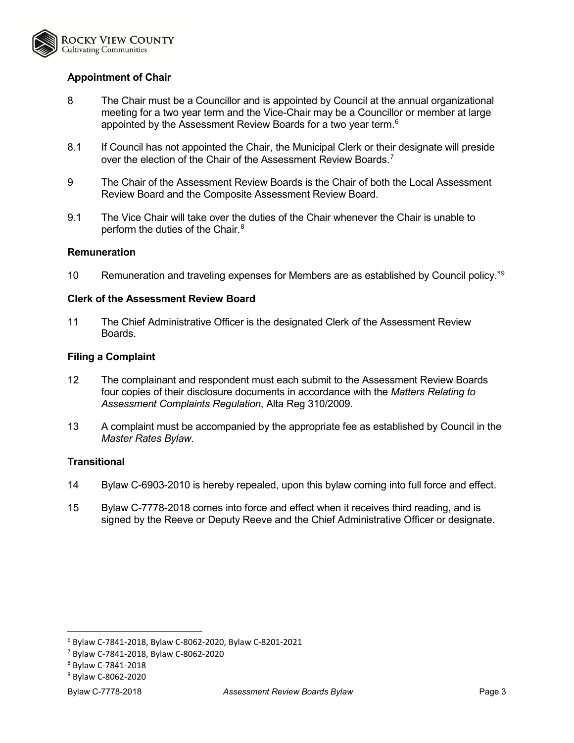

# **Appointment of Chair**

- 8 The Chair must be a Councillor and is appointed by Council at the annual organizational meeting for a two year term and the Vice-Chair may be a Councillor or member at large appointed by the Assessment Review Boards for a two year term. $^6$  $^6$
- 8.1 If Council has not appointed the Chair, the Municipal Clerk or their designate will preside over the election of the Chair of the Assessment Review Boards.<sup>[7](#page-2-1)</sup>
- 9 The Chair of the Assessment Review Boards is the Chair of both the Local Assessment Review Board and the Composite Assessment Review Board.
- 9.1 The Vice Chair will take over the duties of the Chair whenever the Chair is unable to perform the duties of the Chair.<sup>[8](#page-2-2)</sup>

#### **Remuneration**

10 Remuneration and traveling expenses for Members are as established by Council policy."<sup>[9](#page-2-3)</sup>

#### **Clerk of the Assessment Review Board**

11 The Chief Administrative Officer is the designated Clerk of the Assessment Review Boards.

#### **Filing a Complaint**

- 12 The complainant and respondent must each submit to the Assessment Review Boards four copies of their disclosure documents in accordance with the *Matters Relating to Assessment Complaints Regulation*, Alta Reg 310/2009.
- 13 A complaint must be accompanied by the appropriate fee as established by Council in the *Master Rates Bylaw*.

#### **Transitional**

- 14 Bylaw C-6903-2010 is hereby repealed, upon this bylaw coming into full force and effect.
- 15 Bylaw C-7778-2018 comes into force and effect when it receives third reading, and is signed by the Reeve or Deputy Reeve and the Chief Administrative Officer or designate.

<span id="page-2-0"></span> <sup>6</sup> Bylaw C-7841-2018, Bylaw C-8062-2020, Bylaw C-8201-2021

<span id="page-2-1"></span><sup>7</sup> Bylaw C-7841-2018, Bylaw C-8062-2020

<span id="page-2-2"></span><sup>8</sup> Bylaw C-7841-2018

<span id="page-2-3"></span><sup>9</sup> Bylaw C-8062-2020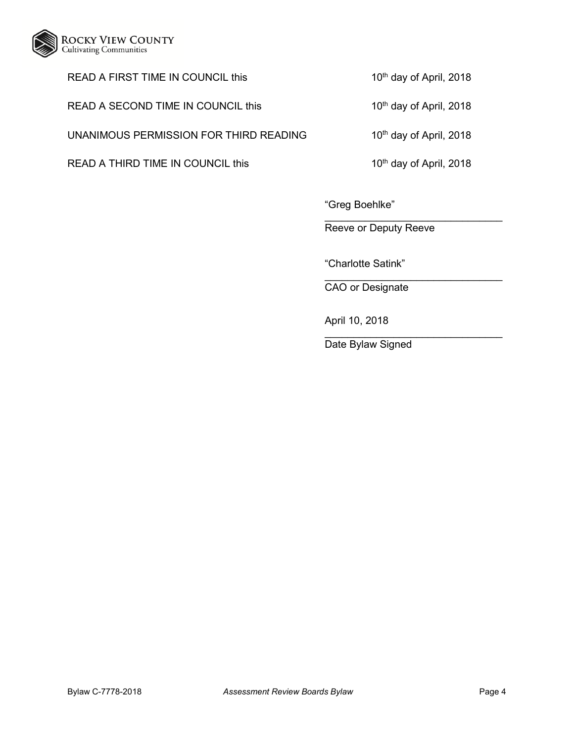

## READ A FIRST TIME IN COUNCIL this 10<sup>th</sup> day of April, 2018

READ A SECOND TIME IN COUNCIL this 10<sup>th</sup> day of April, 2018

UNANIMOUS PERMISSION FOR THIRD READING 10<sup>th</sup> day of April, 2018

READ A THIRD TIME IN COUNCIL this 10<sup>th</sup> day of April, 2018

"Greg Boehlke"

 $\mathcal{L}_\text{max}$  , and the set of the set of the set of the set of the set of the set of the set of the set of the set of the set of the set of the set of the set of the set of the set of the set of the set of the set of the Reeve or Deputy Reeve

"Charlotte Satink"

 $\mathcal{L}_\text{max}$  , and the set of the set of the set of the set of the set of the set of the set of the set of the set of the set of the set of the set of the set of the set of the set of the set of the set of the set of the CAO or Designate

April 10, 2018

 $\overline{\phantom{a}}$  , where  $\overline{\phantom{a}}$  , where  $\overline{\phantom{a}}$  , where  $\overline{\phantom{a}}$  ,  $\overline{\phantom{a}}$  ,  $\overline{\phantom{a}}$  ,  $\overline{\phantom{a}}$  ,  $\overline{\phantom{a}}$  ,  $\overline{\phantom{a}}$  ,  $\overline{\phantom{a}}$  ,  $\overline{\phantom{a}}$  ,  $\overline{\phantom{a}}$  ,  $\overline{\phantom{a}}$  ,  $\overline{\phantom{a}}$  ,  $\overline{\phantom$ Date Bylaw Signed